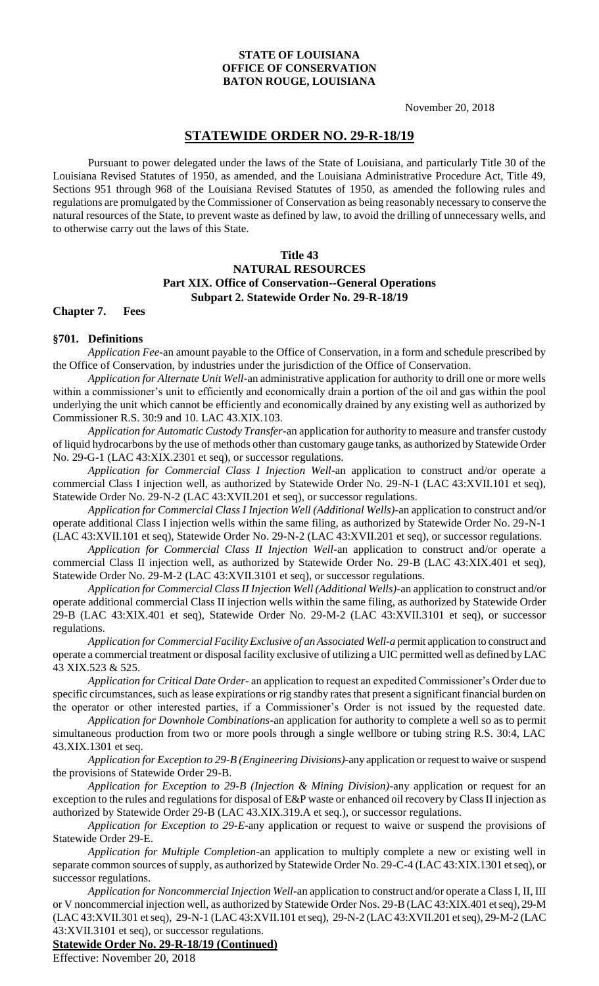#### **STATE OF LOUISIANA OFFICE OF CONSERVATION BATON ROUGE, LOUISIANA**

November 20, 2018

# **STATEWIDE ORDER NO. 29-R-18/19**

Pursuant to power delegated under the laws of the State of Louisiana, and particularly Title 30 of the Louisiana Revised Statutes of 1950, as amended, and the Louisiana Administrative Procedure Act, Title 49, Sections 951 through 968 of the Louisiana Revised Statutes of 1950, as amended the following rules and regulations are promulgated by the Commissioner of Conservation as being reasonably necessary to conserve the natural resources of the State, to prevent waste as defined by law, to avoid the drilling of unnecessary wells, and to otherwise carry out the laws of this State.

#### **Title 43**

### **NATURAL RESOURCES Part XIX. Office of Conservation--General Operations Subpart 2. Statewide Order No. 29-R-18/19**

**Chapter 7. Fees**

### **§701. Definitions**

*Application Fee-*an amount payable to the Office of Conservation, in a form and schedule prescribed by the Office of Conservation, by industries under the jurisdiction of the Office of Conservation.

*Application for Alternate Unit Well*-an administrative application for authority to drill one or more wells within a commissioner's unit to efficiently and economically drain a portion of the oil and gas within the pool underlying the unit which cannot be efficiently and economically drained by any existing well as authorized by Commissioner R.S. 30:9 and 10. LAC 43.XIX.103.

*Application for Automatic Custody Transfer-*an application for authority to measure and transfer custody of liquid hydrocarbons by the use of methods other than customary gauge tanks, as authorized by Statewide Order No. 29-G-1 (LAC 43:XIX.2301 et seq), or successor regulations.

*Application for Commercial Class I Injection Well*-an application to construct and/or operate a commercial Class I injection well, as authorized by Statewide Order No. 29-N-1 (LAC 43:XVII.101 et seq), Statewide Order No. 29-N-2 (LAC 43:XVII.201 et seq), or successor regulations.

*Application for Commercial Class I Injection Well (Additional Wells)*-an application to construct and/or operate additional Class I injection wells within the same filing, as authorized by Statewide Order No. 29-N-1 (LAC 43:XVII.101 et seq), Statewide Order No. 29-N-2 (LAC 43:XVII.201 et seq), or successor regulations.

*Application for Commercial Class II Injection Well*-an application to construct and/or operate a commercial Class II injection well, as authorized by Statewide Order No. 29-B (LAC 43:XIX.401 et seq), Statewide Order No. 29-M-2 (LAC 43:XVII.3101 et seq), or successor regulations.

*Application for Commercial Class II Injection Well (Additional Wells)-*an application to construct and/or operate additional commercial Class II injection wells within the same filing, as authorized by Statewide Order 29-B (LAC 43:XIX.401 et seq), Statewide Order No. 29-M-2 (LAC 43:XVII.3101 et seq), or successor regulations.

*Application for Commercial Facility Exclusive of an Associated Well-a* permit application to construct and operate a commercial treatment or disposal facility exclusive of utilizing a UIC permitted well as defined by LAC 43 XIX.523 & 525.

*Application for Critical Date Order-* an application to request an expedited Commissioner's Order due to specific circumstances, such as lease expirations or rig standby rates that present a significant financial burden on the operator or other interested parties, if a Commissioner's Order is not issued by the requested date.

*Application for Downhole Combinations-*an application for authority to complete a well so as to permit simultaneous production from two or more pools through a single wellbore or tubing string R.S. 30:4, LAC 43.XIX.1301 et seq.

*Application for Exception to 29-B (Engineering Divisions)*-any application or request to waive or suspend the provisions of Statewide Order 29-B.

*Application for Exception to 29-B (Injection & Mining Division)-*any application or request for an exception to the rules and regulations for disposal of E&P waste or enhanced oil recovery by Class II injection as authorized by Statewide Order 29-B (LAC 43.XIX.319.A et seq.), or successor regulations.

*Application for Exception to 29-E*-any application or request to waive or suspend the provisions of Statewide Order 29-E.

*Application for Multiple Completion*-an application to multiply complete a new or existing well in separate common sources of supply, as authorized by Statewide Order No. 29-C-4 (LAC 43:XIX.1301 et seq), or successor regulations.

*Application for Noncommercial Injection Well*-an application to construct and/or operate a Class I, II, III or V noncommercial injection well, as authorized by Statewide Order Nos. 29-B (LAC 43:XIX.401 et seq), 29-M (LAC 43:XVII.301 et seq), 29-N-1 (LAC 43:XVII.101 et seq), 29-N-2 (LAC 43:XVII.201 et seq), 29-M-2 (LAC 43:XVII.3101 et seq), or successor regulations.

**Statewide Order No. 29-R-18/19 (Continued)**

Effective: November 20, 2018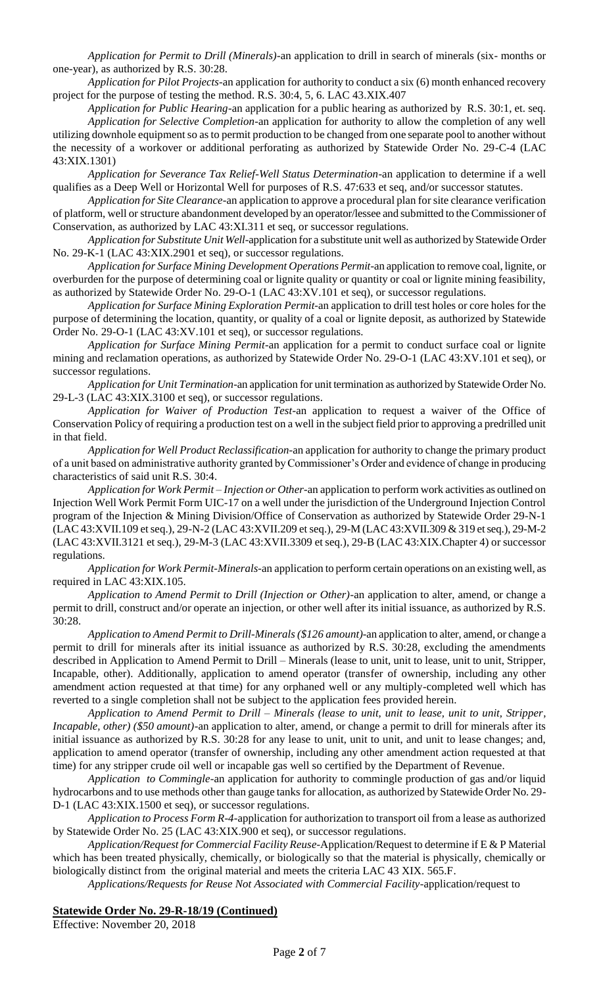*Application for Permit to Drill (Minerals)*-an application to drill in search of minerals (six- months or one-year), as authorized by R.S. 30:28.

*Application for Pilot Projects*-an application for authority to conduct a six (6) month enhanced recovery project for the purpose of testing the method. R.S. 30:4, 5, 6. LAC 43.XIX.407

*Application for Public Hearing*-an application for a public hearing as authorized by R.S. 30:1, et. seq. *Application for Selective Completion*-an application for authority to allow the completion of any well utilizing downhole equipment so as to permit production to be changed from one separate pool to another without the necessity of a workover or additional perforating as authorized by Statewide Order No. 29-C-4 (LAC 43:XIX.1301)

*Application for Severance Tax Relief-Well Status Determination*-an application to determine if a well qualifies as a Deep Well or Horizontal Well for purposes of R.S. 47:633 et seq, and/or successor statutes.

*Application for Site Clearance*-an application to approve a procedural plan for site clearance verification of platform, well or structure abandonment developed by an operator/lessee and submitted to the Commissioner of Conservation, as authorized by LAC 43:XI.311 et seq, or successor regulations.

*Application for Substitute Unit Well*-application for a substitute unit well as authorized by Statewide Order No. 29-K-1 (LAC 43:XIX.2901 et seq), or successor regulations.

*Application for Surface Mining Development Operations Permit*-an application to remove coal, lignite, or overburden for the purpose of determining coal or lignite quality or quantity or coal or lignite mining feasibility, as authorized by Statewide Order No. 29-O-1 (LAC 43:XV.101 et seq), or successor regulations.

*Application for Surface Mining Exploration Permit*-an application to drill test holes or core holes for the purpose of determining the location, quantity, or quality of a coal or lignite deposit, as authorized by Statewide Order No. 29-O-1 (LAC 43:XV.101 et seq), or successor regulations.

*Application for Surface Mining Permit*-an application for a permit to conduct surface coal or lignite mining and reclamation operations, as authorized by Statewide Order No. 29-O-1 (LAC 43:XV.101 et seq), or successor regulations.

*Application for Unit Termination*-an application for unit termination as authorized by Statewide Order No. 29-L-3 (LAC 43:XIX.3100 et seq), or successor regulations.

*Application for Waiver of Production Test*-an application to request a waiver of the Office of Conservation Policy of requiring a production test on a well in the subject field prior to approving a predrilled unit in that field.

*Application for Well Product Reclassification*-an application for authority to change the primary product of a unit based on administrative authority granted by Commissioner's Order and evidence of change in producing characteristics of said unit R.S. 30:4.

*Application for Work Permit – Injection or Other*-an application to perform work activities as outlined on Injection Well Work Permit Form UIC-17 on a well under the jurisdiction of the Underground Injection Control program of the Injection & Mining Division/Office of Conservation as authorized by Statewide Order 29-N-1 (LAC 43:XVII.109 et seq.), 29-N-2 (LAC 43:XVII.209 et seq.), 29-M (LAC 43:XVII.309 & 319 et seq.), 29-M-2 (LAC 43:XVII.3121 et seq.), 29-M-3 (LAC 43:XVII.3309 et seq.), 29-B (LAC 43:XIX.Chapter 4) or successor regulations.

*Application for Work Permit-Minerals*-an application to perform certain operations on an existing well, as required in LAC 43:XIX.105.

*Application to Amend Permit to Drill (Injection or Other)-*an application to alter, amend, or change a permit to drill, construct and/or operate an injection, or other well after its initial issuance, as authorized by R.S. 30:28.

*Application to Amend Permit to Drill-Minerals (\$126 amount)-*an application to alter, amend, or change a permit to drill for minerals after its initial issuance as authorized by R.S. 30:28, excluding the amendments described in Application to Amend Permit to Drill – Minerals (lease to unit, unit to lease, unit to unit, Stripper, Incapable, other). Additionally, application to amend operator (transfer of ownership, including any other amendment action requested at that time) for any orphaned well or any multiply-completed well which has reverted to a single completion shall not be subject to the application fees provided herein.

*Application to Amend Permit to Drill – Minerals (lease to unit, unit to lease, unit to unit, Stripper, Incapable, other) (\$50 amount)*-an application to alter, amend, or change a permit to drill for minerals after its initial issuance as authorized by R.S. 30:28 for any lease to unit, unit to unit, and unit to lease changes; and, application to amend operator (transfer of ownership, including any other amendment action requested at that time) for any stripper crude oil well or incapable gas well so certified by the Department of Revenue.

*Application to Commingle*-an application for authority to commingle production of gas and/or liquid hydrocarbons and to use methods other than gauge tanks for allocation, as authorized by Statewide Order No. 29- D-1 (LAC 43:XIX.1500 et seq), or successor regulations.

*Application to Process Form R-4-*application for authorization to transport oil from a lease as authorized by Statewide Order No. 25 (LAC 43:XIX.900 et seq), or successor regulations.

*Application/Request for Commercial Facility Reuse-*Application/Request to determine if E & P Material which has been treated physically, chemically, or biologically so that the material is physically, chemically or biologically distinct from the original material and meets the criteria LAC 43 XIX. 565.F.

*Applications/Requests for Reuse Not Associated with Commercial Facility*-application/request to

## **Statewide Order No. 29-R-18/19 (Continued)**

Effective: November 20, 2018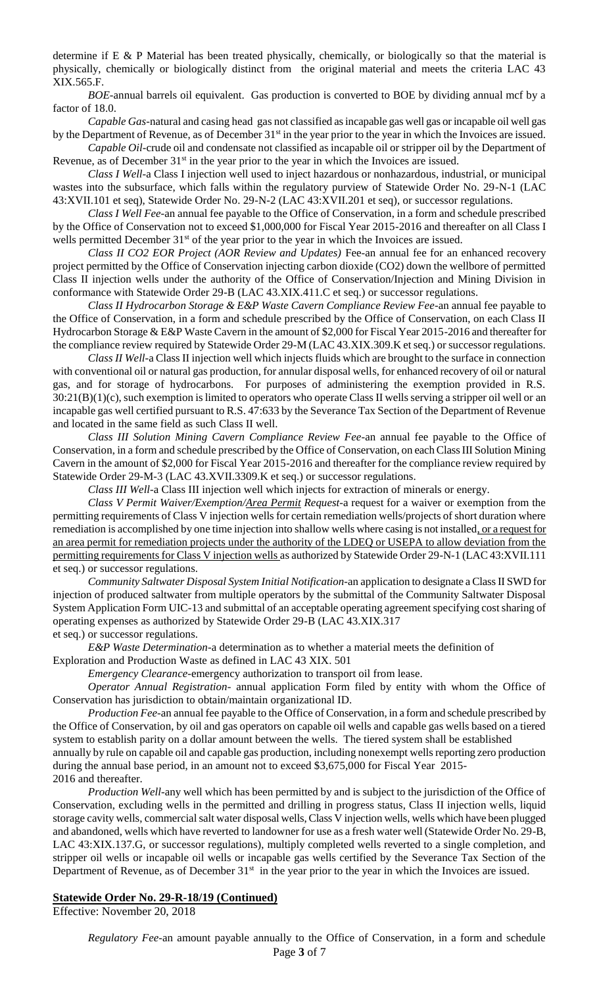determine if E & P Material has been treated physically, chemically, or biologically so that the material is physically, chemically or biologically distinct from the original material and meets the criteria LAC 43 XIX.565.F.

*BOE-*annual barrels oil equivalent. Gas production is converted to BOE by dividing annual mcf by a factor of 18.0.

*Capable Gas*-natural and casing head gas not classified as incapable gas well gas or incapable oil well gas by the Department of Revenue, as of December 31<sup>st</sup> in the year prior to the year in which the Invoices are issued.

*Capable Oil-*crude oil and condensate not classified as incapable oil or stripper oil by the Department of Revenue, as of December 31<sup>st</sup> in the year prior to the year in which the Invoices are issued.

*Class I Well*-a Class I injection well used to inject hazardous or nonhazardous, industrial, or municipal wastes into the subsurface, which falls within the regulatory purview of Statewide Order No. 29-N-1 (LAC 43:XVII.101 et seq), Statewide Order No. 29-N-2 (LAC 43:XVII.201 et seq), or successor regulations.

*Class I Well Fee*-an annual fee payable to the Office of Conservation, in a form and schedule prescribed by the Office of Conservation not to exceed \$1,000,000 for Fiscal Year 2015-2016 and thereafter on all Class I wells permitted December 31<sup>st</sup> of the year prior to the year in which the Invoices are issued.

*Class II CO2 EOR Project (AOR Review and Updates)* Fee-an annual fee for an enhanced recovery project permitted by the Office of Conservation injecting carbon dioxide (CO2) down the wellbore of permitted Class II injection wells under the authority of the Office of Conservation/Injection and Mining Division in conformance with Statewide Order 29-B (LAC 43.XIX.411.C et seq.) or successor regulations.

*Class II Hydrocarbon Storage & E&P Waste Cavern Compliance Review Fee*-an annual fee payable to the Office of Conservation, in a form and schedule prescribed by the Office of Conservation, on each Class II Hydrocarbon Storage & E&P Waste Cavern in the amount of \$2,000 for Fiscal Year 2015-2016 and thereafter for the compliance review required by Statewide Order 29-M (LAC 43.XIX.309.K et seq.) or successor regulations.

*Class II Well-*a Class II injection well which injects fluids which are brought to the surface in connection with conventional oil or natural gas production, for annular disposal wells, for enhanced recovery of oil or natural gas, and for storage of hydrocarbons. For purposes of administering the exemption provided in R.S.  $30:21(B)(1)(c)$ , such exemption is limited to operators who operate Class II wells serving a stripper oil well or an incapable gas well certified pursuant to R.S. 47:633 by the Severance Tax Section of the Department of Revenue and located in the same field as such Class II well.

*Class III Solution Mining Cavern Compliance Review Fee*-an annual fee payable to the Office of Conservation, in a form and schedule prescribed by the Office of Conservation, on each Class III Solution Mining Cavern in the amount of \$2,000 for Fiscal Year 2015-2016 and thereafter for the compliance review required by Statewide Order 29-M-3 (LAC 43.XVII.3309.K et seq.) or successor regulations.

*Class III Well-*a Class III injection well which injects for extraction of minerals or energy.

*Class V Permit Waiver/Exemption/Area Permit Request*-a request for a waiver or exemption from the permitting requirements of Class V injection wells for certain remediation wells/projects of short duration where remediation is accomplished by one time injection into shallow wells where casing is not installed, or a request for an area permit for remediation projects under the authority of the LDEQ or USEPA to allow deviation from the permitting requirements for Class V injection wells as authorized by Statewide Order 29-N-1 (LAC 43:XVII.111 et seq.) or successor regulations.

*Community Saltwater Disposal System Initial Notification*-an application to designate a Class II SWD for injection of produced saltwater from multiple operators by the submittal of the Community Saltwater Disposal System Application Form UIC-13 and submittal of an acceptable operating agreement specifying cost sharing of operating expenses as authorized by Statewide Order 29-B (LAC 43.XIX.317

et seq.) or successor regulations.

*E&P Waste Determination*-a determination as to whether a material meets the definition of Exploration and Production Waste as defined in LAC 43 XIX. 501

*Emergency Clearance*-emergency authorization to transport oil from lease.

*Operator Annual Registration*- annual application Form filed by entity with whom the Office of Conservation has jurisdiction to obtain/maintain organizational ID.

*Production Fee*-an annual fee payable to the Office of Conservation, in a form and schedule prescribed by the Office of Conservation, by oil and gas operators on capable oil wells and capable gas wells based on a tiered system to establish parity on a dollar amount between the wells. The tiered system shall be established

annually by rule on capable oil and capable gas production, including nonexempt wells reporting zero production during the annual base period, in an amount not to exceed \$3,675,000 for Fiscal Year 2015-

2016 and thereafter.

*Production Well-*any well which has been permitted by and is subject to the jurisdiction of the Office of Conservation, excluding wells in the permitted and drilling in progress status, Class II injection wells, liquid storage cavity wells, commercial salt water disposal wells, Class V injection wells, wells which have been plugged and abandoned, wells which have reverted to landowner for use as a fresh water well (Statewide Order No. 29-B, LAC 43:XIX.137.G, or successor regulations), multiply completed wells reverted to a single completion, and stripper oil wells or incapable oil wells or incapable gas wells certified by the Severance Tax Section of the Department of Revenue, as of December  $31<sup>st</sup>$  in the year prior to the year in which the Invoices are issued.

#### **Statewide Order No. 29-R-18/19 (Continued)**

Effective: November 20, 2018

Page **3** of 7 *Regulatory Fee*-an amount payable annually to the Office of Conservation, in a form and schedule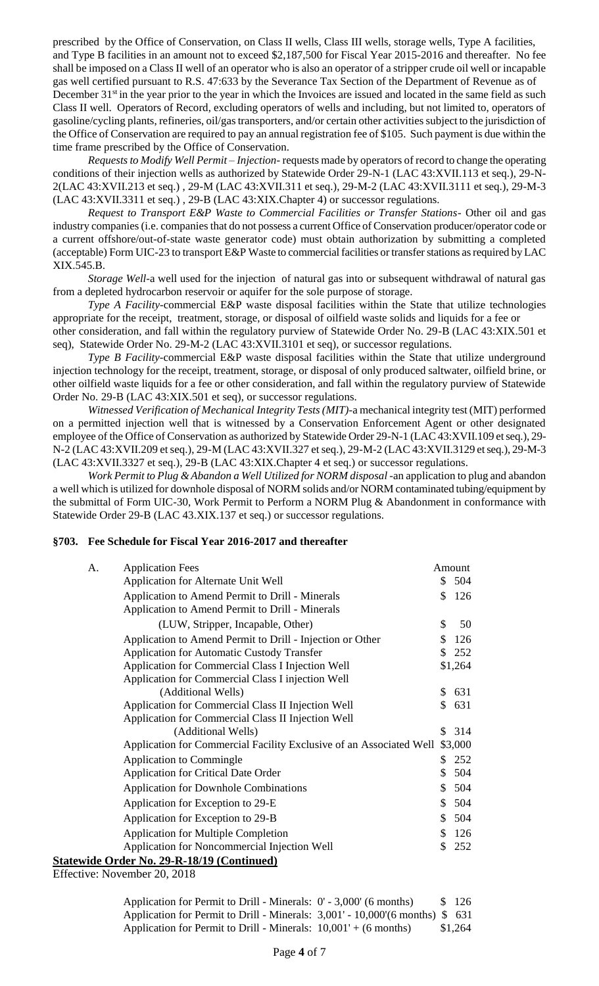prescribed by the Office of Conservation, on Class II wells, Class III wells, storage wells, Type A facilities, and Type B facilities in an amount not to exceed \$2,187,500 for Fiscal Year 2015-2016 and thereafter. No fee shall be imposed on a Class II well of an operator who is also an operator of a stripper crude oil well or incapable gas well certified pursuant to R.S. 47:633 by the Severance Tax Section of the Department of Revenue as of December  $31<sup>st</sup>$  in the year prior to the year in which the Invoices are issued and located in the same field as such Class II well. Operators of Record, excluding operators of wells and including, but not limited to, operators of gasoline/cycling plants, refineries, oil/gas transporters, and/or certain other activities subject to the jurisdiction of the Office of Conservation are required to pay an annual registration fee of \$105. Such payment is due within the time frame prescribed by the Office of Conservation.

*Requests to Modify Well Permit – Injection*- requests made by operators of record to change the operating conditions of their injection wells as authorized by Statewide Order 29-N-1 (LAC 43:XVII.113 et seq.), 29-N-2(LAC 43:XVII.213 et seq.) , 29-M (LAC 43:XVII.311 et seq.), 29-M-2 (LAC 43:XVII.3111 et seq.), 29-M-3 (LAC 43:XVII.3311 et seq.) , 29-B (LAC 43:XIX.Chapter 4) or successor regulations.

*Request to Transport E&P Waste to Commercial Facilities or Transfer Stations*- Other oil and gas industry companies (i.e. companies that do not possess a current Office of Conservation producer/operator code or a current offshore/out-of-state waste generator code) must obtain authorization by submitting a completed (acceptable) Form UIC-23 to transport E&P Waste to commercial facilities or transfer stations as required by LAC XIX.545.B.

*Storage Well-*a well used for the injection of natural gas into or subsequent withdrawal of natural gas from a depleted hydrocarbon reservoir or aquifer for the sole purpose of storage.

*Type A Facility-*commercial E&P waste disposal facilities within the State that utilize technologies appropriate for the receipt, treatment, storage, or disposal of oilfield waste solids and liquids for a fee or

other consideration, and fall within the regulatory purview of Statewide Order No. 29-B (LAC 43:XIX.501 et seq), Statewide Order No. 29-M-2 (LAC 43:XVII.3101 et seq), or successor regulations.

*Type B Facility-*commercial E&P waste disposal facilities within the State that utilize underground injection technology for the receipt, treatment, storage, or disposal of only produced saltwater, oilfield brine, or other oilfield waste liquids for a fee or other consideration, and fall within the regulatory purview of Statewide Order No. 29-B (LAC 43:XIX.501 et seq), or successor regulations.

*Witnessed Verification of Mechanical Integrity Tests (MIT)*-a mechanical integrity test (MIT) performed on a permitted injection well that is witnessed by a Conservation Enforcement Agent or other designated employee of the Office of Conservation as authorized by Statewide Order 29-N-1 (LAC 43:XVII.109 et seq.), 29- N-2 (LAC 43:XVII.209 et seq.), 29-M (LAC 43:XVII.327 et seq.), 29-M-2 (LAC 43:XVII.3129 et seq.), 29-M-3 (LAC 43:XVII.3327 et seq.), 29-B (LAC 43:XIX.Chapter 4 et seq.) or successor regulations.

*Work Permit to Plug & Abandon a Well Utilized for NORM disposal* -an application to plug and abandon a well which is utilized for downhole disposal of NORM solids and/or NORM contaminated tubing/equipment by the submittal of Form UIC-30, Work Permit to Perform a NORM Plug & Abandonment in conformance with Statewide Order 29-B (LAC 43.XIX.137 et seq.) or successor regulations.

#### **§703. Fee Schedule for Fiscal Year 2016-2017 and thereafter**

| <b>Application Fees</b><br>A.                                       |              | Amount  |
|---------------------------------------------------------------------|--------------|---------|
| Application for Alternate Unit Well                                 | \$           | 504     |
| Application to Amend Permit to Drill - Minerals                     | \$           | 126     |
| Application to Amend Permit to Drill - Minerals                     |              |         |
| (LUW, Stripper, Incapable, Other)                                   | \$           | 50      |
| Application to Amend Permit to Drill - Injection or Other           | \$           | 126     |
| <b>Application for Automatic Custody Transfer</b>                   | $\mathbb{S}$ | 252     |
| Application for Commercial Class I Injection Well                   |              | \$1,264 |
| Application for Commercial Class I injection Well                   |              |         |
| (Additional Wells)                                                  | \$           | 631     |
| Application for Commercial Class II Injection Well                  | \$           | 631     |
| Application for Commercial Class II Injection Well                  |              |         |
| (Additional Wells)                                                  | S.           | 314     |
| Application for Commercial Facility Exclusive of an Associated Well |              | \$3,000 |
| Application to Commingle                                            | \$           | 252     |
| <b>Application for Critical Date Order</b>                          | \$           | 504     |
| <b>Application for Downhole Combinations</b>                        | \$           | 504     |
| Application for Exception to 29-E                                   | \$           | 504     |
| Application for Exception to 29-B                                   | \$           | 504     |
| <b>Application for Multiple Completion</b>                          | \$           | 126     |
| Application for Noncommercial Injection Well                        | \$           | 252     |
| <b>Statewide Order No. 29-R-18/19 (Continued)</b>                   |              |         |

Effective: November 20, 2018

Application for Permit to Drill - Minerals:  $0'$  - 3,000' (6 months) \$ 126 Application for Permit to Drill - Minerals: 3,001' - 10,000'(6 months) \$ 631 Application for Permit to Drill - Minerals:  $10,001' + (6 \text{ months})$  \$1,264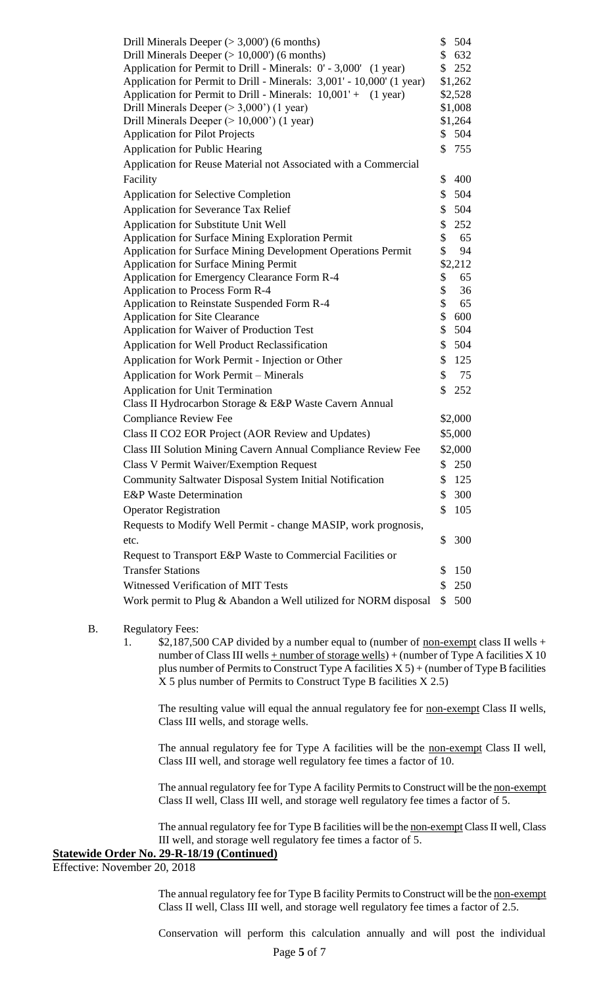| Drill Minerals Deeper ( $>$ 3,000') (6 months)                        | \$       | 504        |  |
|-----------------------------------------------------------------------|----------|------------|--|
| Drill Minerals Deeper $(>10,000)$ (6 months)                          |          |            |  |
| Application for Permit to Drill - Minerals: 0' - 3,000' (1 year)      | \$       | 252        |  |
| Application for Permit to Drill - Minerals: 3,001' - 10,000' (1 year) |          | \$1,262    |  |
| Application for Permit to Drill - Minerals: 10,001' + (1 year)        |          | \$2,528    |  |
| Drill Minerals Deeper $(>3,000)$ (1 year)                             |          | \$1,008    |  |
| Drill Minerals Deeper $(>10,000)$ (1 year)                            |          | \$1,264    |  |
| <b>Application for Pilot Projects</b>                                 | \$       | 504        |  |
| <b>Application for Public Hearing</b>                                 | \$       | 755        |  |
| Application for Reuse Material not Associated with a Commercial       |          |            |  |
| Facility                                                              | \$       | 400        |  |
| <b>Application for Selective Completion</b>                           | \$       | 504        |  |
| <b>Application for Severance Tax Relief</b>                           | \$       | 504        |  |
| Application for Substitute Unit Well                                  | \$       | 252        |  |
| <b>Application for Surface Mining Exploration Permit</b>              | \$       | 65         |  |
| Application for Surface Mining Development Operations Permit          | \$       | 94         |  |
| <b>Application for Surface Mining Permit</b>                          |          | \$2,212    |  |
| Application for Emergency Clearance Form R-4                          | \$       | 65         |  |
| <b>Application to Process Form R-4</b>                                | \$       | 36         |  |
| Application to Reinstate Suspended Form R-4                           | \$<br>\$ | 65<br>600  |  |
| <b>Application for Site Clearance</b>                                 |          |            |  |
| Application for Waiver of Production Test                             | \$<br>\$ | 504<br>504 |  |
| Application for Well Product Reclassification                         |          |            |  |
| Application for Work Permit - Injection or Other                      |          |            |  |
| Application for Work Permit – Minerals                                | \$       | 75         |  |
| <b>Application for Unit Termination</b>                               | \$       | 252        |  |
| Class II Hydrocarbon Storage & E&P Waste Cavern Annual                |          |            |  |
| <b>Compliance Review Fee</b>                                          |          | \$2,000    |  |
| Class II CO2 EOR Project (AOR Review and Updates)                     |          | \$5,000    |  |
| Class III Solution Mining Cavern Annual Compliance Review Fee         |          | \$2,000    |  |
| <b>Class V Permit Waiver/Exemption Request</b>                        |          | \$250      |  |
| Community Saltwater Disposal System Initial Notification              | \$       | 125        |  |
| <b>E&amp;P</b> Waste Determination                                    | \$       | 300        |  |
| <b>Operator Registration</b>                                          | \$       | 105        |  |
| Requests to Modify Well Permit - change MASIP, work prognosis,        |          |            |  |
| etc.                                                                  | \$       | 300        |  |
| Request to Transport E&P Waste to Commercial Facilities or            |          |            |  |
| <b>Transfer Stations</b>                                              | \$       | 150        |  |
| Witnessed Verification of MIT Tests                                   |          |            |  |
| Work permit to Plug & Abandon a Well utilized for NORM disposal       |          |            |  |

#### B. Regulatory Fees:

1. \$2,187,500 CAP divided by a number equal to (number of <u>non-exempt</u> class II wells + number of Class III wells  $+$  number of storage wells) + (number of Type A facilities X 10 plus number of Permits to Construct Type A facilities  $X 5$ ) + (number of Type B facilities X 5 plus number of Permits to Construct Type B facilities X 2.5)

The resulting value will equal the annual regulatory fee for non-exempt Class II wells, Class III wells, and storage wells.

The annual regulatory fee for Type A facilities will be the non-exempt Class II well, Class III well, and storage well regulatory fee times a factor of 10.

The annual regulatory fee for Type A facility Permits to Construct will be the non-exempt Class II well, Class III well, and storage well regulatory fee times a factor of 5.

The annual regulatory fee for Type B facilities will be the non-exempt Class II well, Class III well, and storage well regulatory fee times a factor of 5.

## **Statewide Order No. 29-R-18/19 (Continued)**

Effective: November 20, 2018

The annual regulatory fee for Type B facility Permits to Construct will be the non-exempt Class II well, Class III well, and storage well regulatory fee times a factor of 2.5.

Conservation will perform this calculation annually and will post the individual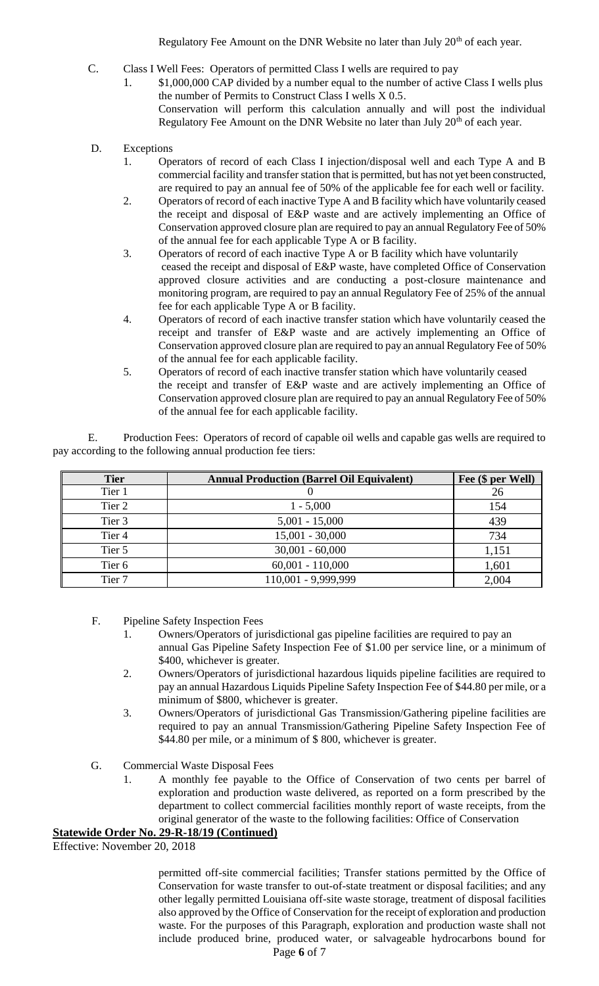Regulatory Fee Amount on the DNR Website no later than July 20<sup>th</sup> of each year.

- C. Class I Well Fees: Operators of permitted Class I wells are required to pay
	- 1. \$1,000,000 CAP divided by a number equal to the number of active Class I wells plus the number of Permits to Construct Class I wells X 0.5. Conservation will perform this calculation annually and will post the individual Regulatory Fee Amount on the DNR Website no later than July 20<sup>th</sup> of each year.
- D. Exceptions
	- 1. Operators of record of each Class I injection/disposal well and each Type A and B commercial facility and transfer station that is permitted, but has not yet been constructed, are required to pay an annual fee of 50% of the applicable fee for each well or facility.
	- 2. Operators of record of each inactive Type A and B facility which have voluntarily ceased the receipt and disposal of E&P waste and are actively implementing an Office of Conservation approved closure plan are required to pay an annual Regulatory Fee of 50% of the annual fee for each applicable Type A or B facility.
	- 3. Operators of record of each inactive Type A or B facility which have voluntarily ceased the receipt and disposal of E&P waste, have completed Office of Conservation approved closure activities and are conducting a post-closure maintenance and monitoring program, are required to pay an annual Regulatory Fee of 25% of the annual fee for each applicable Type A or B facility.
	- 4. Operators of record of each inactive transfer station which have voluntarily ceased the receipt and transfer of E&P waste and are actively implementing an Office of Conservation approved closure plan are required to pay an annual Regulatory Fee of 50% of the annual fee for each applicable facility.
	- 5. Operators of record of each inactive transfer station which have voluntarily ceased the receipt and transfer of E&P waste and are actively implementing an Office of Conservation approved closure plan are required to pay an annual Regulatory Fee of 50% of the annual fee for each applicable facility.

E. Production Fees: Operators of record of capable oil wells and capable gas wells are required to pay according to the following annual production fee tiers:

| <b>Tier</b> | <b>Annual Production (Barrel Oil Equivalent)</b> | Fee (\$ per Well) |
|-------------|--------------------------------------------------|-------------------|
| Tier 1      |                                                  | 26                |
| Tier 2      | $1 - 5,000$                                      | 154               |
| Tier 3      | $5,001 - 15,000$                                 | 439               |
| Tier 4      | $15,001 - 30,000$                                | 734               |
| Tier 5      | $30,001 - 60,000$                                | 1,151             |
| Tier 6      | $60,001 - 110,000$                               | 1,601             |
| Tier 7      | 110,001 - 9,999,999                              | 2,004             |

F. Pipeline Safety Inspection Fees

- 1. Owners/Operators of jurisdictional gas pipeline facilities are required to pay an annual Gas Pipeline Safety Inspection Fee of \$1.00 per service line, or a minimum of \$400, whichever is greater.
- 2. Owners/Operators of jurisdictional hazardous liquids pipeline facilities are required to pay an annual Hazardous Liquids Pipeline Safety Inspection Fee of \$44.80 per mile, or a minimum of \$800, whichever is greater.
- 3. Owners/Operators of jurisdictional Gas Transmission/Gathering pipeline facilities are required to pay an annual Transmission/Gathering Pipeline Safety Inspection Fee of \$44.80 per mile, or a minimum of \$ 800, whichever is greater.
- G. Commercial Waste Disposal Fees
	- 1. A monthly fee payable to the Office of Conservation of two cents per barrel of exploration and production waste delivered, as reported on a form prescribed by the department to collect commercial facilities monthly report of waste receipts, from the original generator of the waste to the following facilities: Office of Conservation

## **Statewide Order No. 29-R-18/19 (Continued)**

Effective: November 20, 2018

Page **6** of 7 permitted off-site commercial facilities; Transfer stations permitted by the Office of Conservation for waste transfer to out-of-state treatment or disposal facilities; and any other legally permitted Louisiana off-site waste storage, treatment of disposal facilities also approved by the Office of Conservation for the receipt of exploration and production waste. For the purposes of this Paragraph, exploration and production waste shall not include produced brine, produced water, or salvageable hydrocarbons bound for